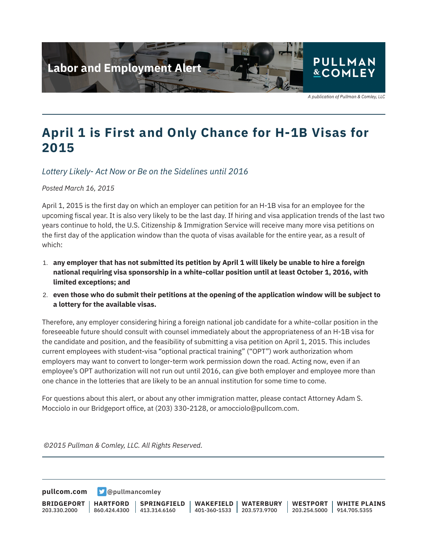

A publication of Pullman & Comley, LLC

## **April 1 is First and Only Chance for H-1B Visas for 2015**

*Lottery Likely- Act Now or Be on the Sidelines until 2016*

*Posted March 16, 2015*

April 1, 2015 is the first day on which an employer can petition for an H-1B visa for an employee for the upcoming fiscal year. It is also very likely to be the last day. If hiring and visa application trends of the last two years continue to hold, the U.S. Citizenship & Immigration Service will receive many more visa petitions on the first day of the application window than the quota of visas available for the entire year, as a result of which:

- 1. **any employer that has not submitted its petition by April 1 will likely be unable to hire a foreign national requiring visa sponsorship in a white-collar position until at least October 1, 2016, with limited exceptions; and**
- 2. **even those who do submit their petitions at the opening of the application window will be subject to a lottery for the available visas.**

Therefore, any employer considering hiring a foreign national job candidate for a white-collar position in the foreseeable future should consult with counsel immediately about the appropriateness of an H-1B visa for the candidate and position, and the feasibility of submitting a visa petition on April 1, 2015. This includes current employees with student-visa "optional practical training" ("OPT") work authorization whom employers may want to convert to longer-term work permission down the road. Acting now, even if an employee's OPT authorization will not run out until 2016, can give both employer and employee more than one chance in the lotteries that are likely to be an annual institution for some time to come.

For questions about this alert, or about any other immigration matter, please contact Attorney Adam S. Mocciolo in our Bridgeport office, at (203) 330-2128, or amocciolo@pullcom.com.

*©2015 Pullman & Comley, LLC. All Rights Reserved.*

**[pullcom.com](https://www.pullcom.com) g** [@pullmancomley](https://twitter.com/PullmanComley)

**BRIDGEPORT** 203.330.2000

l

**HARTFORD** 860.424.4300

**SPRINGFIELD**  $1413.314.6160$ 

**WAKEFIELD** 401-360-1533 203.573.9700 **WATERBURY**

**WESTPORT** 203.254.5000 914.705.5355 **WHITE PLAINS**